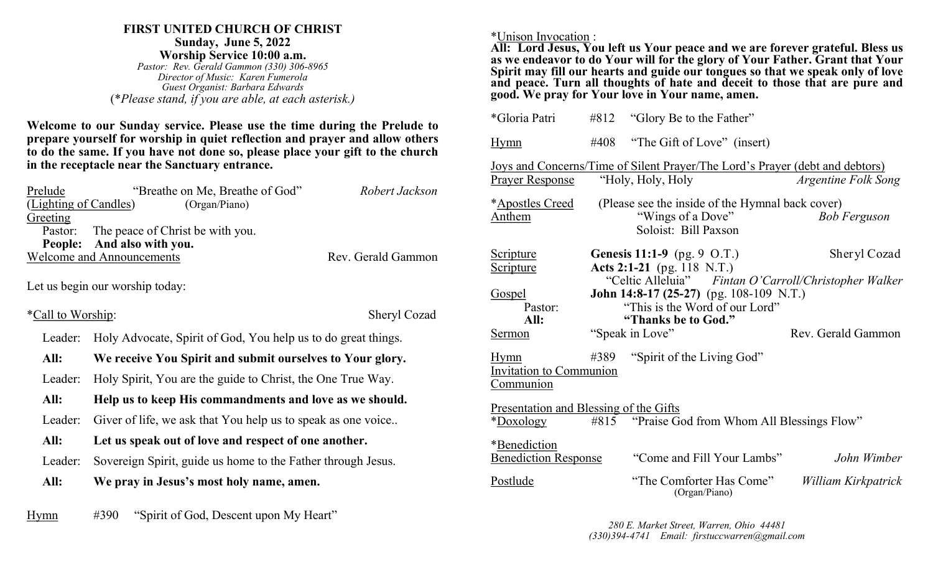#### **FIRST UNITED CHURCH OF CHRIST Sunday, June 5, 2022 Worship Service 10:00 a.m.**

*Pastor: Rev. Gerald Gammon (330) 306-8965 Director of Music: Karen Fumerola Guest Organist: Barbara Edwards* (\**Please stand, if you are able, at each asterisk.)*

**Welcome to our Sunday service. Please use the time during the Prelude to prepare yourself for worship in quiet reflection and prayer and allow others to do the same. If you have not done so, please place your gift to the church in the receptacle near the Sanctuary entrance.**

| Prelude                          | "Breathe on Me, Breathe of God"          | Robert Jackson     |
|----------------------------------|------------------------------------------|--------------------|
| (Lighting of Candles)            | (Organ/Piano)                            |                    |
| Greeting                         |                                          |                    |
|                                  | Pastor: The peace of Christ be with you. |                    |
|                                  | People: And also with you.               |                    |
| <b>Welcome and Announcements</b> |                                          | Rev. Gerald Gammon |

Let us begin our worship today:

\*Call to Worship:

Leader: Holy Advocate, Spirit of God, You help us to do great things.

 **All: We receive You Spirit and submit ourselves to Your glory.**

Leader: Holy Spirit, You are the guide to Christ, the One True Way.

**All: Help us to keep His commandments and love as we should.**

Leader: Giver of life, we ask that You help us to speak as one voice...

### **All: Let us speak out of love and respect of one another.**

- Leader: Sovereign Spirit, guide us home to the Father through Jesus.
- **All: We pray in Jesus's most holy name, amen.**

| <u>Hymn</u> | #390 | "Spirit of God, Descent upon My Heart" |  |
|-------------|------|----------------------------------------|--|
|             |      |                                        |  |

\*Unison Invocation :

**All: Lord Jesus, You left us Your peace and we are forever grateful. Bless us as we endeavor to do Your will for the glory of Your Father. Grant that Your Spirit may fill our hearts and guide our tongues so that we speak only of love**  and peace. Turn all thoughts of hate and deceit to those that are pure and **good. We pray for Your love in Your name, amen.**

| *Gloria Patri                                              |      | $#812$ "Glory Be to the Father"                                                                                                                                                     |                     |
|------------------------------------------------------------|------|-------------------------------------------------------------------------------------------------------------------------------------------------------------------------------------|---------------------|
| <b>Hymn</b>                                                | #408 | "The Gift of Love" (insert)                                                                                                                                                         |                     |
| <b>Prayer Response</b>                                     |      | <u>Joys and Concerns/Time of Silent Prayer/The Lord's Prayer (debt and debtors)</u><br>"Holy, Holy, Holy                                                                            | Argentine Folk Song |
| *Apostles Creed<br>Anthem                                  |      | (Please see the inside of the Hymnal back cover)<br>"Wings of a Dove"<br>Soloist: Bill Paxson                                                                                       | <b>Bob Ferguson</b> |
| <u>Scripture</u><br><b>Scripture</b>                       |      | <b>Genesis 11:1-9</b> (pg. 9 O.T.)<br>Acts 2:1-21 (pg. 118 N.T.)                                                                                                                    | Sheryl Cozad        |
| <b>Gospel</b><br>Pastor:<br>All:<br>Sermon                 |      | "Celtic Alleluia" Fintan O'Carroll/Christopher Walker<br><b>John 14:8-17 (25-27)</b> (pg. 108-109 N.T.)<br>"This is the Word of our Lord"<br>"Thanks be to God."<br>"Speak in Love" | Rev. Gerald Gammon  |
| <u>Hymn</u><br><b>Invitation to Communion</b><br>Communion | #389 | "Spirit of the Living God"                                                                                                                                                          |                     |
| <b>Presentation and Blessing of the Gifts</b><br>*Doxology |      | #815 "Praise God from Whom All Blessings Flow"                                                                                                                                      |                     |
| *Benediction<br><b>Benediction Response</b>                |      | "Come and Fill Your Lambs"                                                                                                                                                          | John Wimber         |
| Postlude                                                   |      | "The Comforter Has Come"<br>(Organ/Piano)                                                                                                                                           | William Kirkpatrick |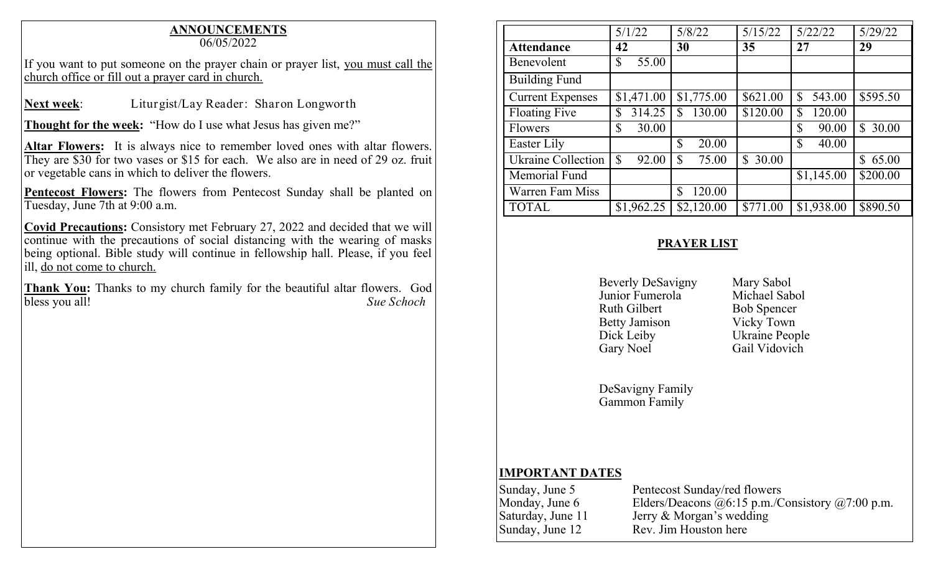# **ANNOUNCEMENTS**

06/05/2022

If you want to put someone on the prayer chain or prayer list, you must call the church office or fill out a prayer card in church.

**Next week**: Liturgist/Lay Reader: Sharon Longworth

**Thought for the week:** "How do I use what Jesus has given me?"

**Altar Flowers:** It is always nice to remember loved ones with altar flowers. They are \$30 for two vases or \$15 for each. We also are in need of 29 oz. fruit or vegetable cans in which to deliver the flowers.

Pentecost Flowers: The flowers from Pentecost Sunday shall be planted on Tuesday, June 7th at 9:00 a.m.

**Covid Precautions:** Consistory met February 27, 2022 and decided that we will continue with the precautions of social distancing with the wearing of masks being optional. Bible study will continue in fellowship hall. Please, if you feel ill, do not come to church.

**Thank You:** Thanks to my church family for the beautiful altar flowers. God bless you all! *Sue Schoch*

|                           | 5/1/22       | 5/8/22                 | 5/15/22               | 5/22/22                | 5/29/22     |
|---------------------------|--------------|------------------------|-----------------------|------------------------|-------------|
| <b>Attendance</b>         | 42           | 30                     | 35                    | 27                     | 29          |
| Benevolent                | 55.00<br>\$  |                        |                       |                        |             |
| <b>Building Fund</b>      |              |                        |                       |                        |             |
| <b>Current Expenses</b>   | \$1,471.00   | \$1,775.00             | \$621.00              | \$<br>543.00           | \$595.50    |
| <b>Floating Five</b>      | 314.25<br>\$ | 130.00<br>$\mathbb{S}$ | \$120.00              | 120.00<br>$\mathbb{S}$ |             |
| <b>Flowers</b>            | \$<br>30.00  |                        |                       | \$<br>90.00            | \$30.00     |
| Easter Lily               |              | 20.00<br>\$            |                       | $\mathbb{S}$<br>40.00  |             |
| <b>Ukraine Collection</b> | \$<br>92.00  | \$<br>75.00            | 30.00<br>$\mathbb{S}$ |                        | 65.00<br>\$ |
| Memorial Fund             |              |                        |                       | \$1,145.00             | \$200.00    |
| Warren Fam Miss           |              | 120.00<br>\$           |                       |                        |             |
| <b>TOTAL</b>              | \$1,962.25   | \$2,120.00             | \$771.00              | \$1,938.00             | \$890.50    |

## **PRAYER LIST**

Beverly DeSavigny Mary Sabol<br>
Junior Fumerola Michael Sabol Junior Fumerola<br>Ruth Gilbert Betty Jamison Vicky Town Dick Leiby Ukraine People Gary Noel Gail Vidovich

**Bob Spencer** 

DeSavigny Family Gammon Family

# **IMPORTANT DATES**

| Sunday, June 5    | Pentecost Sunday/red flowers                              |
|-------------------|-----------------------------------------------------------|
| Monday, June 6    | Elders/Deacons $(a)$ 6:15 p.m./Consistory $(a)$ 7:00 p.m. |
| Saturday, June 11 | Jerry $\&$ Morgan's wedding                               |
| Sunday, June 12   | Rev. Jim Houston here                                     |
|                   |                                                           |